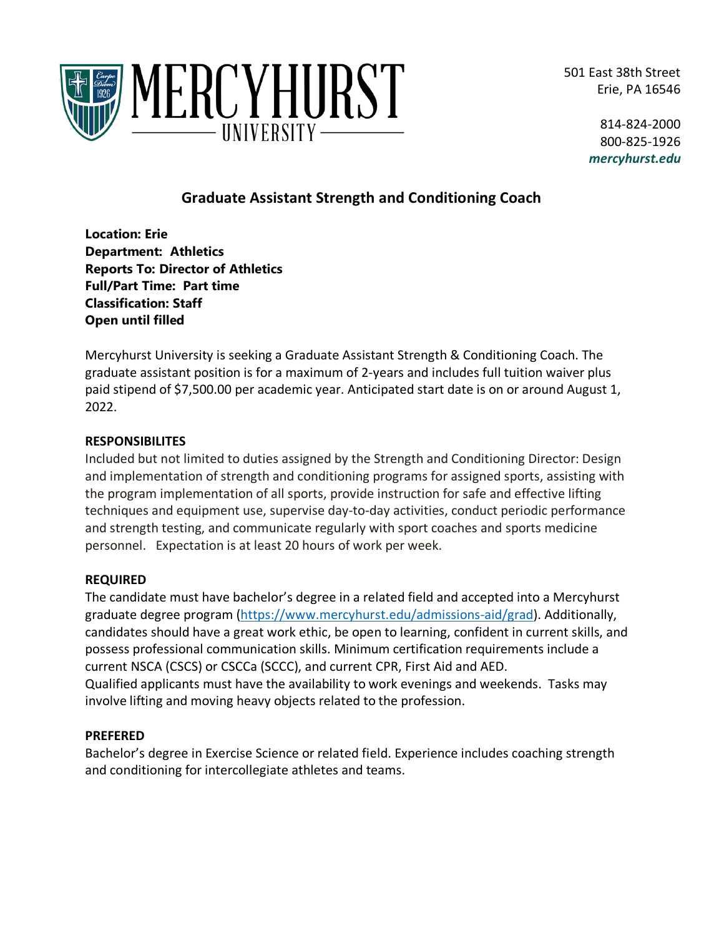501 East 38th Street Erie, PA 16546



814-824-2000 800-825-1926 *mercyhurst.edu*

# **Graduate Assistant Strength and Conditioning Coach**

**Location: Erie Department: Athletics Reports To: Director of Athletics Full/Part Time: Part time Classification: Staff Open until filled**

Mercyhurst University is seeking a Graduate Assistant Strength & Conditioning Coach. The graduate assistant position is for a maximum of 2-years and includes full tuition waiver plus paid stipend of \$7,500.00 per academic year. Anticipated start date is on or around August 1, 2022.

### **RESPONSIBILITES**

Included but not limited to duties assigned by the Strength and Conditioning Director: Design and implementation of strength and conditioning programs for assigned sports, assisting with the program implementation of all sports, provide instruction for safe and effective lifting techniques and equipment use, supervise day-to-day activities, conduct periodic performance and strength testing, and communicate regularly with sport coaches and sports medicine personnel. Expectation is at least 20 hours of work per week.

### **REQUIRED**

The candidate must have bachelor's degree in a related field and accepted into a Mercyhurst graduate degree program [\(https://www.mercyhurst.edu/admissions-aid/grad\)](https://www.mercyhurst.edu/admissions-aid/grad). Additionally, candidates should have a great work ethic, be open to learning, confident in current skills, and possess professional communication skills. Minimum certification requirements include a current NSCA (CSCS) or CSCCa (SCCC), and current CPR, First Aid and AED. Qualified applicants must have the availability to work evenings and weekends. Tasks may involve lifting and moving heavy objects related to the profession.

### **PREFERED**

Bachelor's degree in Exercise Science or related field. Experience includes coaching strength and conditioning for intercollegiate athletes and teams.